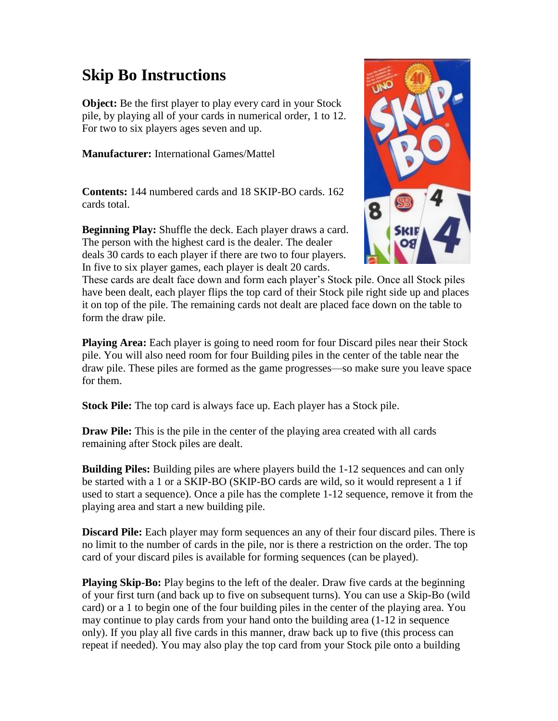## **Skip Bo Instructions**

**Object:** Be the first player to play every card in your Stock pile, by playing all of your cards in numerical order, 1 to 12. For two to six players ages seven and up.

**Manufacturer:** International Games/Mattel

**Contents:** 144 numbered cards and 18 SKIP-BO cards. 162 cards total.

**Beginning Play:** Shuffle the deck. Each player draws a card. The person with the highest card is the dealer. The dealer deals 30 cards to each player if there are two to four players. In five to six player games, each player is dealt 20 cards.



These cards are dealt face down and form each player's Stock pile. Once all Stock piles have been dealt, each player flips the top card of their Stock pile right side up and places it on top of the pile. The remaining cards not dealt are placed face down on the table to form the draw pile.

**Playing Area:** Each player is going to need room for four Discard piles near their Stock pile. You will also need room for four Building piles in the center of the table near the draw pile. These piles are formed as the game progresses—so make sure you leave space for them.

**Stock Pile:** The top card is always face up. Each player has a Stock pile.

**Draw Pile:** This is the pile in the center of the playing area created with all cards remaining after Stock piles are dealt.

**Building Piles:** Building piles are where players build the 1-12 sequences and can only be started with a 1 or a SKIP-BO (SKIP-BO cards are wild, so it would represent a 1 if used to start a sequence). Once a pile has the complete 1-12 sequence, remove it from the playing area and start a new building pile.

**Discard Pile:** Each player may form sequences an any of their four discard piles. There is no limit to the number of cards in the pile, nor is there a restriction on the order. The top card of your discard piles is available for forming sequences (can be played).

**Playing Skip-Bo:** Play begins to the left of the dealer. Draw five cards at the beginning of your first turn (and back up to five on subsequent turns). You can use a Skip-Bo (wild card) or a 1 to begin one of the four building piles in the center of the playing area. You may continue to play cards from your hand onto the building area (1-12 in sequence only). If you play all five cards in this manner, draw back up to five (this process can repeat if needed). You may also play the top card from your Stock pile onto a building